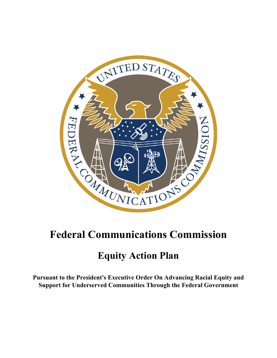

# **Federal Communications Commission**

# **Equity Action Plan**

**Pursuant to the President's Executive Order On Advancing Racial Equity and Support for Underserved Communities Through the Federal Government**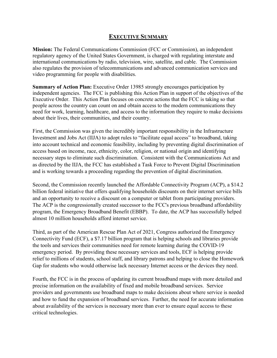## **EXECUTIVE SUMMARY**

**Mission:** The Federal Communications Commission (FCC or Commission), an independent regulatory agency of the United States Government, is charged with regulating interstate and international communications by radio, television, wire, satellite, and cable. The Commission also regulates the provision of telecommunications and advanced communication services and video programming for people with disabilities.

**Summary of Action Plan:** Executive Order 13985 strongly encourages participation by independent agencies. The FCC is publishing this Action Plan in support of the objectives of the Executive Order. This Action Plan focuses on concrete actions that the FCC is taking so that people across the country can count on and obtain access to the modern communications they need for work, learning, healthcare, and access to the information they require to make decisions about their lives, their communities, and their country.

First, the Commission was given the incredibly important responsibility in the Infrastructure Investment and Jobs Act (IIJA) to adopt rules to "facilitate equal access" to broadband, taking into account technical and economic feasibility, including by preventing digital discrimination of access based on income, race, ethnicity, color, religion, or national origin and identifying necessary steps to eliminate such discrimination. Consistent with the Communications Act and as directed by the IIJA, the FCC has established a Task Force to Prevent Digital Discrimination and is working towards a proceeding regarding the prevention of digital discrimination.

Second, the Commission recently launched the Affordable Connectivity Program (ACP), a \$14.2 billion federal initiative that offers qualifying households discounts on their internet service bills and an opportunity to receive a discount on a computer or tablet from participating providers. The ACP is the congressionally created successor to the FCC's previous broadband affordability program, the Emergency Broadband Benefit (EBBP). To date, the ACP has successfully helped almost 10 million households afford internet service.

Third, as part of the American Rescue Plan Act of 2021, Congress authorized the Emergency Connectivity Fund (ECF), a \$7.17 billion program that is helping schools and libraries provide the tools and services their communities need for remote learning during the COVID-19 emergency period. By providing these necessary services and tools, ECF is helping provide relief to millions of students, school staff, and library patrons and helping to close the Homework Gap for students who would otherwise lack necessary Internet access or the devices they need.

Fourth, the FCC is in the process of updating its current broadband maps with more detailed and precise information on the availability of fixed and mobile broadband services. Service providers and governments use broadband maps to make decisions about where service is needed and how to fund the expansion of broadband services. Further, the need for accurate information about availability of the services is necessary more than ever to ensure equal access to these critical technologies.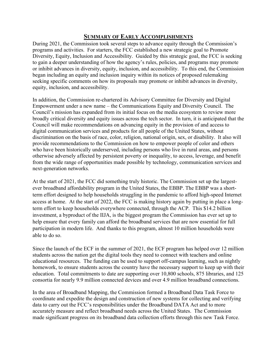#### **SUMMARY OF EARLY ACCOMPLISHMENTS**

During 2021, the Commission took several steps to advance equity through the Commission's programs and activities. For starters, the FCC established a new strategic goal to Promote Diversity, Equity, Inclusion and Accessibility. Guided by this strategic goal, the FCC is seeking to gain a deeper understanding of how the agency's rules, policies, and programs may promote or inhibit advances in diversity, equity, inclusion, and accessibility. To this end, the Commission began including an equity and inclusion inquiry within its notices of proposed rulemaking seeking specific comments on how its proposals may promote or inhibit advances in diversity, equity, inclusion, and accessibility.

In addition, the Commission re-chartered its Advisory Committee for Diversity and Digital Empowerment under a new name – the Communications Equity and Diversity Council. The Council's mission has expanded from its initial focus on the media ecosystem to review more broadly critical diversity and equity issues across the tech sector. In turn, it is anticipated that the Council will make recommendations on advancing equity in the provision of and access to digital communication services and products for all people of the United States, without discrimination on the basis of race, color, religion, national origin, sex, or disability. It also will provide recommendations to the Commission on how to empower people of color and others who have been historically underserved, including persons who live in rural areas, and persons otherwise adversely affected by persistent poverty or inequality, to access, leverage, and benefit from the wide range of opportunities made possible by technology, communication services and next-generation networks.

At the start of 2021, the FCC did something truly historic. The Commission set up the largestever broadband affordability program in the United States, the EBBP. The EBBP was a shortterm effort designed to help households struggling in the pandemic to afford high-speed Internet access at home. At the start of 2022, the FCC is making history again by putting in place a longterm effort to keep households everywhere connected, through the ACP. This \$14.2 billion investment, a byproduct of the IIJA, is the biggest program the Commission has ever set up to help ensure that every family can afford the broadband services that are now essential for full participation in modern life. And thanks to this program, almost 10 million households were able to do so.

Since the launch of the ECF in the summer of 2021, the ECF program has helped over 12 million students across the nation get the digital tools they need to connect with teachers and online educational resources. The funding can be used to support off-campus learning, such as nightly homework, to ensure students across the country have the necessary support to keep up with their education. Total commitments to date are supporting over 10,800 schools, 875 libraries, and 125 consortia for nearly 9.9 million connected devices and over 4.9 million broadband connections.

In the area of Broadband Mapping, the Commission formed a Broadband Data Task Force to coordinate and expedite the design and construction of new systems for collecting and verifying data to carry out the FCC's responsibilities under the Broadband DATA Act and to more accurately measure and reflect broadband needs across the United States. The Commission made significant progress on its broadband data collection efforts through this new Task Force.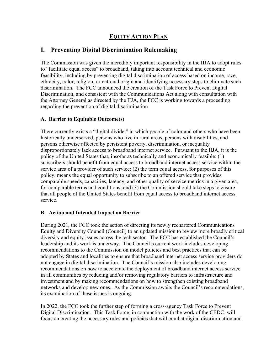# **EQUITY ACTION PLAN**

# **I. Preventing Digital Discrimination Rulemaking**

The Commission was given the incredibly important responsibility in the IIJA to adopt rules to "facilitate equal access" to broadband, taking into account technical and economic feasibility, including by preventing digital discrimination of access based on income, race, ethnicity, color, religion, or national origin and identifying necessary steps to eliminate such discrimination. The FCC announced the creation of the Task Force to Prevent Digital Discrimination, and consistent with the Communications Act along with consultation with the Attorney General as directed by the IIJA, the FCC is working towards a proceeding regarding the prevention of digital discrimination.

#### **A. Barrier to Equitable Outcome(s)**

There currently exists a "digital divide," in which people of color and others who have been historically underserved, persons who live in rural areas, persons with disabilities, and persons otherwise affected by persistent poverty, discrimination, or inequality disproportionately lack access to broadband internet service. Pursuant to the IIJA, it is the policy of the United States that, insofar as technically and economically feasible: (1) subscribers should benefit from equal access to broadband internet access service within the service area of a provider of such service; (2) the term equal access, for purposes of this policy, means the equal opportunity to subscribe to an offered service that provides comparable speeds, capacities, latency, and other quality of service metrics in a given area, for comparable terms and conditions; and (3) the Commission should take steps to ensure that all people of the United States benefit from equal access to broadband internet access service.

#### **B. Action and Intended Impact on Barrier**

During 2021, the FCC took the action of directing its newly rechartered Communications Equity and Diversity Council (Council) to an updated mission to review more broadly critical diversity and equity issues across the tech sector. The FCC has established the Council's leadership and its work is underway. The Council's current work includes developing recommendations to the Commission on model policies and best practices that can be adopted by States and localities to ensure that broadband internet access service providers do not engage in digital discrimination. The Council's mission also includes developing recommendations on how to accelerate the deployment of broadband internet access service in all communities by reducing and/or removing regulatory barriers to infrastructure and investment and by making recommendations on how to strengthen existing broadband networks and develop new ones. As the Commission awaits the Council's recommendations, its examination of these issues is ongoing.

In 2022, the FCC took the further step of forming a cross-agency Task Force to Prevent Digital Discrimination. This Task Force, in conjunction with the work of the CEDC, will focus on creating the necessary rules and policies that will combat digital discrimination and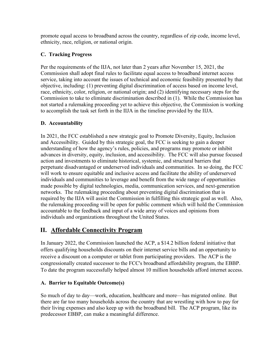promote equal access to broadband across the country, regardless of zip code, income level, ethnicity, race, religion, or national origin.

# **C. Tracking Progress**

Per the requirements of the IIJA, not later than 2 years after November 15, 2021, the Commission shall adopt final rules to facilitate equal access to broadband internet access service, taking into account the issues of technical and economic feasibility presented by that objective, including: (1) preventing digital discrimination of access based on income level, race, ethnicity, color, religion, or national origin; and (2) identifying necessary steps for the Commission to take to eliminate discrimination described in (1). While the Commission has not started a rulemaking proceeding yet to achieve this objective, the Commission is working to accomplish the task set forth in the IIJA in the timeline provided by the IIJA.

# **D. Accountability**

In 2021, the FCC established a new strategic goal to Promote Diversity, Equity, Inclusion and Accessibility. Guided by this strategic goal, the FCC is seeking to gain a deeper understanding of how the agency's rules, policies, and programs may promote or inhibit advances in diversity, equity, inclusion, and accessibility. The FCC will also pursue focused action and investments to eliminate historical, systemic, and structural barriers that perpetuate disadvantaged or underserved individuals and communities. In so doing, the FCC will work to ensure equitable and inclusive access and facilitate the ability of underserved individuals and communities to leverage and benefit from the wide range of opportunities made possible by digital technologies, media, communication services, and next-generation networks. The rulemaking proceeding about preventing digital discrimination that is required by the IIJA will assist the Commission in fulfilling this strategic goal as well. Also, the rulemaking proceeding will be open for public comment which will hold the Commission accountable to the feedback and input of a wide array of voices and opinions from individuals and organizations throughout the United States.

# **II. Affordable Connectivity Program**

In January 2022, the Commission launched the ACP, a \$14.2 billion federal initiative that offers qualifying households discounts on their internet service bills and an opportunity to receive a discount on a computer or tablet from participating providers. The ACP is the congressionally created successor to the FCC's broadband affordability program, the EBBP. To date the program successfully helped almost 10 million households afford internet access.

# **A. Barrier to Equitable Outcome(s)**

So much of day to day—work, education, healthcare and more—has migrated online. But there are far too many households across the country that are wrestling with how to pay for their living expenses and also keep up with the broadband bill. The ACP program, like its predecessor EBBP, can make a meaningful difference.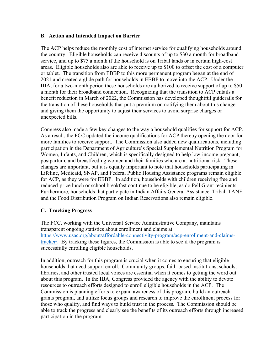#### **B. Action and Intended Impact on Barrier**

The ACP helps reduce the monthly cost of internet service for qualifying households around the country. Eligible households can receive discounts of up to \$30 a month for broadband service, and up to \$75 a month if the household is on Tribal lands or in certain high-cost areas. Eligible households also are able to receive up to \$100 to offset the cost of a computer or tablet. The transition from EBBP to this more permanent program began at the end of 2021 and created a glide path for households in EBBP to move into the ACP. Under the IIJA, for a two-month period these households are authorized to receive support of up to \$50 a month for their broadband connection. Recognizing that the transition to ACP entails a benefit reduction in March of 2022, the Commission has developed thoughtful guiderails for the transition of these households that put a premium on notifying them about this change and giving them the opportunity to adjust their services to avoid surprise charges or unexpected bills.

Congress also made a few key changes to the way a household qualifies for support for ACP. As a result, the FCC updated the income qualifications for ACP thereby opening the door for more families to receive support. The Commission also added new qualifications, including participation in the Department of Agriculture's Special Supplemental Nutrition Program for Women, Infants, and Children, which is specifically designed to help low-income pregnant, postpartum, and breastfeeding women and their families who are at nutritional risk. These changes are important, but it is equally important to note that households participating in Lifeline, Medicaid, SNAP, and Federal Public Housing Assistance programs remain eligible for ACP, as they were for EBBP. In addition, households with children receiving free and reduced-price lunch or school breakfast continue to be eligible, as do Pell Grant recipients. Furthermore, households that participate in Indian Affairs General Assistance, Tribal, TANF, and the Food Distribution Program on Indian Reservations also remain eligible.

#### **C. Tracking Progress**

The FCC, working with the Universal Service Administrative Company, maintains transparent ongoing statistics about enrollment and claims at: [https://www.usac.org/about/affordable-connectivity-program/acp-enrollment-and-claims](https://www.usac.org/about/affordable-connectivity-program/acp-enrollment-and-claims-tracker/)[tracker/.](https://www.usac.org/about/affordable-connectivity-program/acp-enrollment-and-claims-tracker/) By tracking these figures, the Commission is able to see if the program is successfully enrolling eligible households.

In addition, outreach for this program is crucial when it comes to ensuring that eligible households that need support enroll. Community groups, faith-based institutions, schools, libraries, and other trusted local voices are essential when it comes to getting the word out about this program. In the IIJA, Congress provided the agency with the ability to devote resources to outreach efforts designed to enroll eligible households in the ACP. The Commission is planning efforts to expand awareness of this program, build an outreach grants program, and utilize focus groups and research to improve the enrollment process for those who qualify, and find ways to build trust in the process. The Commission should be able to track the progress and clearly see the benefits of its outreach efforts through increased participation in the program.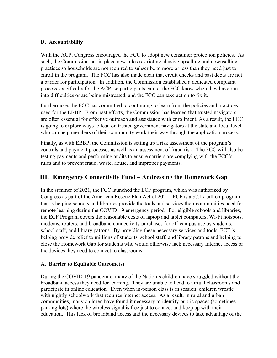#### **D. Accountability**

With the ACP, Congress encouraged the FCC to adopt new consumer protection policies. As such, the Commission put in place new rules restricting abusive upselling and downselling practices so households are not required to subscribe to more or less than they need just to enroll in the program. The FCC has also made clear that credit checks and past debts are not a barrier for participation. In addition, the Commission established a dedicated complaint process specifically for the ACP, so participants can let the FCC know when they have run into difficulties or are being mistreated, and the FCC can take action to fix it.

Furthermore, the FCC has committed to continuing to learn from the policies and practices used for the EBBP. From past efforts, the Commission has learned that trusted navigators are often essential for effective outreach and assistance with enrollment. As a result, the FCC is going to explore ways to lean on trusted government navigators at the state and local level who can help members of their community work their way through the application process.

Finally, as with EBBP, the Commission is setting up a risk assessment of the program's controls and payment processes as well as an assessment of fraud risk. The FCC will also be testing payments and performing audits to ensure carriers are complying with the FCC's rules and to prevent fraud, waste, abuse, and improper payments.

# **III. Emergency Connectivity Fund – Addressing the Homework Gap**

In the summer of 2021, the FCC launched the ECF program, which was authorized by Congress as part of the American Rescue Plan Act of 2021. ECF is a \$7.17 billion program that is helping schools and libraries provide the tools and services their communities need for remote learning during the COVID-19 emergency period. For eligible schools and libraries, the ECF Program covers the reasonable costs of laptop and tablet computers, Wi-Fi hotspots, modems, routers, and broadband connectivity purchases for off-campus use by students, school staff, and library patrons. By providing these necessary services and tools, ECF is helping provide relief to millions of students, school staff, and library patrons and helping to close the Homework Gap for students who would otherwise lack necessary Internet access or the devices they need to connect to classrooms.

#### **A. Barrier to Equitable Outcome(s)**

During the COVID-19 pandemic, many of the Nation's children have struggled without the broadband access they need for learning. They are unable to head to virtual classrooms and participate in online education. Even when in-person class is in session, children wrestle with nightly schoolwork that requires internet access. As a result, in rural and urban communities, many children have found it necessary to identify public spaces (sometimes parking lots) where the wireless signal is free just to connect and keep up with their education. This lack of broadband access and the necessary devices to take advantage of the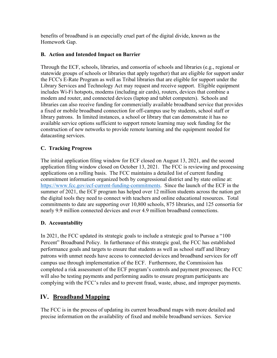benefits of broadband is an especially cruel part of the digital divide, known as the Homework Gap.

## **B. Action and Intended Impact on Barrier**

Through the ECF, schools, libraries, and consortia of schools and libraries (e.g., regional or statewide groups of schools or libraries that apply together) that are eligible for support under the FCC's E-Rate Program as well as Tribal libraries that are eligible for support under the Library Services and Technology Act may request and receive support. Eligible equipment includes Wi-Fi hotspots, modems (including air cards), routers, devices that combine a modem and router, and connected devices (laptop and tablet computers). Schools and libraries can also receive funding for commercially available broadband service that provides a fixed or mobile broadband connection for off-campus use by students, school staff or library patrons. In limited instances, a school or library that can demonstrate it has no available service options sufficient to support remote learning may seek funding for the construction of new networks to provide remote learning and the equipment needed for datacasting services.

# **C. Tracking Progress**

The initial application filing window for ECF closed on August 13, 2021, and the second application filing window closed on October 13, 2021. The FCC is reviewing and processing applications on a rolling basis. The FCC maintains a detailed list of current funding commitment information organized both by congressional district and by state online at: [https://www.fcc.gov/ecf-current-funding-commitments.](https://www.fcc.gov/ecf-current-funding-commitments) Since the launch of the ECF in the summer of 2021, the ECF program has helped over 12 million students across the nation get the digital tools they need to connect with teachers and online educational resources. Total commitments to date are supporting over 10,800 schools, 875 libraries, and 125 consortia for nearly 9.9 million connected devices and over 4.9 million broadband connections.

# **D. Accountability**

In 2021, the FCC updated its strategic goals to include a strategic goal to Pursue a "100 Percent" Broadband Policy. In furtherance of this strategic goal, the FCC has established performance goals and targets to ensure that students as well as school staff and library patrons with unmet needs have access to connected devices and broadband services for off campus use through implementation of the ECF. Furthermore, the Commission has completed a risk assessment of the ECF program's controls and payment processes; the FCC will also be testing payments and performing audits to ensure program participants are complying with the FCC's rules and to prevent fraud, waste, abuse, and improper payments.

# **IV. Broadband Mapping**

The FCC is in the process of updating its current broadband maps with more detailed and precise information on the availability of fixed and mobile broadband services. Service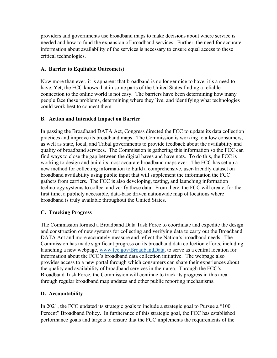providers and governments use broadband maps to make decisions about where service is needed and how to fund the expansion of broadband services. Further, the need for accurate information about availability of the services is necessary to ensure equal access to these critical technologies.

### **A. Barrier to Equitable Outcome(s)**

Now more than ever, it is apparent that broadband is no longer nice to have; it's a need to have. Yet, the FCC knows that in some parts of the United States finding a reliable connection to the online world is not easy. The barriers have been determining how many people face these problems, determining where they live, and identifying what technologies could work best to connect them.

#### **B. Action and Intended Impact on Barrier**

In passing the Broadband DATA Act, Congress directed the FCC to update its data collection practices and improve its broadband maps. The Commission is working to allow consumers, as well as state, local, and Tribal governments to provide feedback about the availability and quality of broadband services. The Commission is gathering this information so the FCC can find ways to close the gap between the digital haves and have nots. To do this, the FCC is working to design and build its most accurate broadband maps ever. The FCC has set up a new method for collecting information to build a comprehensive, user-friendly dataset on broadband availability using public input that will supplement the information the FCC gathers from carriers. The FCC is also developing, testing, and launching information technology systems to collect and verify these data. From there, the FCC will create, for the first time, a publicly accessible, data-base driven nationwide map of locations where broadband is truly available throughout the United States.

### **C. Tracking Progress**

The Commission formed a Broadband Data Task Force to coordinate and expedite the design and construction of new systems for collecting and verifying data to carry out the Broadband DATA Act and more accurately measure and reflect the Nation's broadband needs. The Commission has made significant progress on its broadband data collection efforts, including launching a new webpage, [www.fcc.gov/BroadbandData,](http://www.fcc.gov/BroadbandData) to serve as a central location for information about the FCC's broadband data collection initiative. The webpage also provides access to a new portal through which consumers can share their experiences about the quality and availability of broadband services in their area. Through the FCC's Broadband Task Force, the Commission will continue to track its progress in this area through regular broadband map updates and other public reporting mechanisms.

#### **D. Accountability**

In 2021, the FCC updated its strategic goals to include a strategic goal to Pursue a "100 Percent" Broadband Policy. In furtherance of this strategic goal, the FCC has established performance goals and targets to ensure that the FCC implements the requirements of the